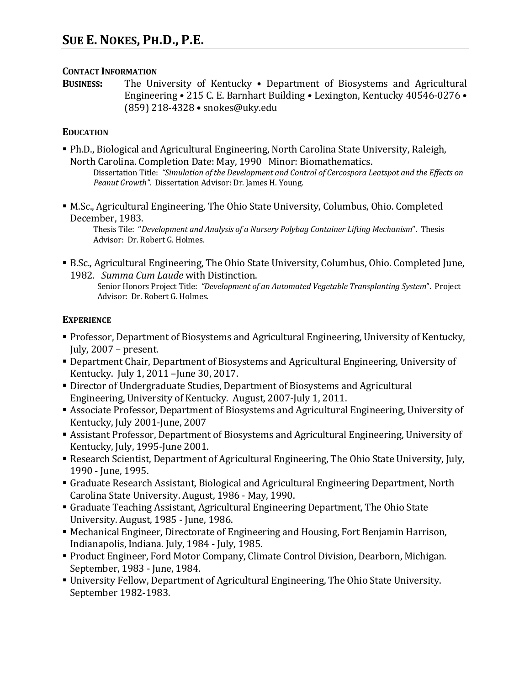# **SUE E. NOKES, PH.D., P.E.**

#### **CONTACT INFORMATION**

**BUSINESS:** The University of Kentucky • Department of Biosystems and Agricultural Engineering • 215 C. E. Barnhart Building • Lexington, Kentucky 40546-0276 • (859) 218-4328 • snokes@uky.edu

#### **EDUCATION**

 Ph.D., Biological and Agricultural Engineering, North Carolina State University, Raleigh, North Carolina. Completion Date: May, 1990 Minor: Biomathematics.

 M.Sc., Agricultural Engineering*,* The Ohio State University, Columbus, Ohio. Completed December, 1983.

Thesis Tile: "*Development and Analysis of a Nursery Polybag Container Lifting Mechanism*". Thesis Advisor: Dr. Robert G. Holmes.

 B.Sc., Agricultural Engineering, The Ohio State University, Columbus, Ohio. Completed June, 1982. *Summa Cum Laude* with Distinction.

#### **EXPERIENCE**

- Professor, Department of Biosystems and Agricultural Engineering, University of Kentucky, July, 2007 – present.
- Department Chair, Department of Biosystems and Agricultural Engineering, University of Kentucky. July 1, 2011 –June 30, 2017.
- Director of Undergraduate Studies, Department of Biosystems and Agricultural Engineering, University of Kentucky. August, 2007-July 1, 2011.
- Associate Professor, Department of Biosystems and Agricultural Engineering, University of Kentucky, July 2001-June, 2007
- Assistant Professor, Department of Biosystems and Agricultural Engineering, University of Kentucky, July, 1995-June 2001.
- Research Scientist, Department of Agricultural Engineering, The Ohio State University, July, 1990 - June, 1995.
- Graduate Research Assistant, Biological and Agricultural Engineering Department, North Carolina State University. August, 1986 - May, 1990.
- Graduate Teaching Assistant, Agricultural Engineering Department, The Ohio State University. August, 1985 - June, 1986.
- Mechanical Engineer, Directorate of Engineering and Housing, Fort Benjamin Harrison, Indianapolis, Indiana. July, 1984 - July, 1985.
- Product Engineer, Ford Motor Company, Climate Control Division, Dearborn, Michigan. September, 1983 - June, 1984.
- University Fellow, Department of Agricultural Engineering, The Ohio State University. September 1982-1983.

Dissertation Title: *"Simulation of the Development and Control of Cercospora Leatspot and the Effects on Peanut Growth"*. Dissertation Advisor: Dr. James H. Young.

Senior Honors Project Title: *"Development of an Automated Vegetable Transplanting System*". Project Advisor: Dr. Robert G. Holmes.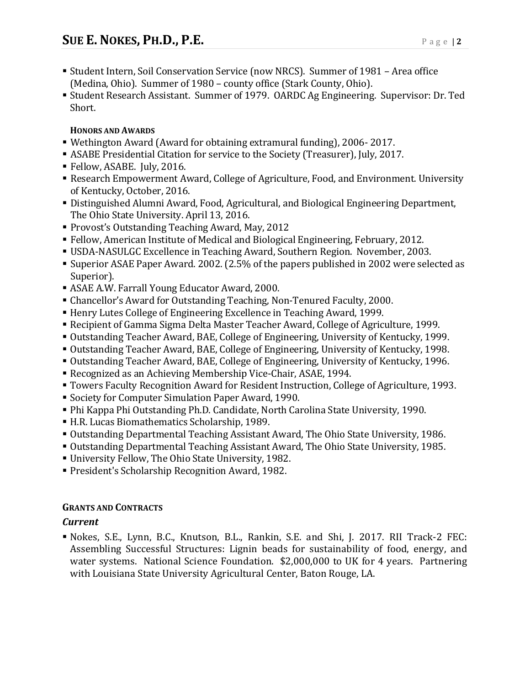- Student Intern, Soil Conservation Service (now NRCS). Summer of 1981 Area office (Medina, Ohio). Summer of 1980 – county office (Stark County, Ohio).
- Student Research Assistant. Summer of 1979. OARDC Ag Engineering. Supervisor: Dr. Ted Short.

### **HONORS AND AWARDS**

- Wethington Award (Award for obtaining extramural funding), 2006- 2017.
- ASABE Presidential Citation for service to the Society (Treasurer), July, 2017.
- Fellow, ASABE. July, 2016.
- Research Empowerment Award, College of Agriculture, Food, and Environment. University of Kentucky, October, 2016.
- Distinguished Alumni Award, Food, Agricultural, and Biological Engineering Department, The Ohio State University. April 13, 2016.
- **Provost's Outstanding Teaching Award, May, 2012**
- Fellow, American Institute of Medical and Biological Engineering, February, 2012.
- USDA-NASULGC Excellence in Teaching Award, Southern Region. November, 2003.
- Superior ASAE Paper Award. 2002. (2.5% of the papers published in 2002 were selected as Superior).
- ASAE A.W. Farrall Young Educator Award, 2000.
- Chancellor's Award for Outstanding Teaching, Non-Tenured Faculty, 2000.
- Henry Lutes College of Engineering Excellence in Teaching Award, 1999.
- Recipient of Gamma Sigma Delta Master Teacher Award, College of Agriculture, 1999.
- Outstanding Teacher Award, BAE, College of Engineering, University of Kentucky, 1999.
- Outstanding Teacher Award, BAE, College of Engineering, University of Kentucky, 1998.
- Outstanding Teacher Award, BAE, College of Engineering, University of Kentucky, 1996.
- Recognized as an Achieving Membership Vice-Chair, ASAE, 1994.
- Towers Faculty Recognition Award for Resident Instruction, College of Agriculture, 1993.
- **Society for Computer Simulation Paper Award, 1990.**
- Phi Kappa Phi Outstanding Ph.D. Candidate, North Carolina State University, 1990.
- H.R. Lucas Biomathematics Scholarship, 1989.
- Outstanding Departmental Teaching Assistant Award, The Ohio State University, 1986.
- Outstanding Departmental Teaching Assistant Award, The Ohio State University, 1985.
- University Fellow, The Ohio State University, 1982.
- **President's Scholarship Recognition Award, 1982.**

### **GRANTS AND CONTRACTS**

### *Current*

 Nokes, S.E., Lynn, B.C., Knutson, B.L., Rankin, S.E. and Shi, J. 2017. RII Track-2 FEC: Assembling Successful Structures: Lignin beads for sustainability of food, energy, and water systems. National Science Foundation. \$2,000,000 to UK for 4 years. Partnering with Louisiana State University Agricultural Center, Baton Rouge, LA.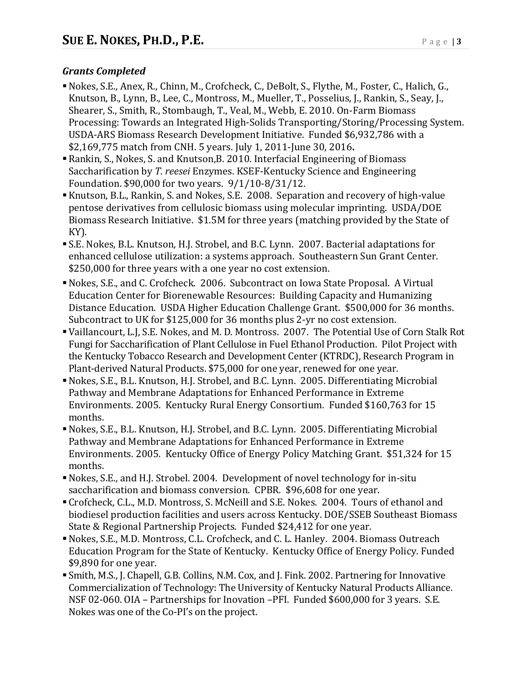# *Grants Completed*

- Nokes, S.E., Anex, R., Chinn, M., Crofcheck, C., DeBolt, S., Flythe, M., Foster, C., Halich, G., Knutson, B., Lynn, B., Lee, C., Montross, M., Mueller, T., Posselius, J., Rankin, S., Seay, J., Shearer, S., Smith, R., Stombaugh, T., Veal, M., Webb, E. 2010. On-Farm Biomass Processing: Towards an Integrated High-Solids Transporting/Storing/Processing System. USDA-ARS Biomass Research Development Initiative. Funded \$6,932,786 with a \$2,169,775 match from CNH. 5 years. July 1, 2011-June 30, 2016**.**
- Rankin, S., Nokes, S. and Knutson,B. 2010. Interfacial Engineering of Biomass Saccharification by *T. reesei* Enzymes. KSEF-Kentucky Science and Engineering Foundation. \$90,000 for two years. 9/1/10-8/31/12.
- Knutson, B.L., Rankin, S. and Nokes, S.E. 2008. Separation and recovery of high-value pentose derivatives from cellulosic biomass using molecular imprinting. USDA/DOE Biomass Research Initiative. \$1.5M for three years (matching provided by the State of KY).
- S.E. Nokes, B.L. Knutson, H.J. Strobel, and B.C. Lynn. 2007. Bacterial adaptations for enhanced cellulose utilization: a systems approach. Southeastern Sun Grant Center. \$250,000 for three years with a one year no cost extension.
- Nokes, S.E., and C. Crofcheck. 2006. Subcontract on Iowa State Proposal. A Virtual Education Center for Biorenewable Resources: Building Capacity and Humanizing Distance Education. USDA Higher Education Challenge Grant. \$500,000 for 36 months. Subcontract to UK for \$125,000 for 36 months plus 2-yr no cost extension.
- Vaillancourt, L.J, S.E. Nokes, and M. D. Montross. 2007. The Potential Use of Corn Stalk Rot Fungi for Saccharification of Plant Cellulose in Fuel Ethanol Production. Pilot Project with the Kentucky Tobacco Research and Development Center (KTRDC), Research Program in Plant-derived Natural Products. \$75,000 for one year, renewed for one year.
- Nokes, S.E., B.L. Knutson, H.J. Strobel, and B.C. Lynn. 2005. Differentiating Microbial Pathway and Membrane Adaptations for Enhanced Performance in Extreme Environments. 2005. Kentucky Rural Energy Consortium. Funded \$160,763 for 15 months.
- Nokes, S.E., B.L. Knutson, H.J. Strobel, and B.C. Lynn. 2005. Differentiating Microbial Pathway and Membrane Adaptations for Enhanced Performance in Extreme Environments. 2005. Kentucky Office of Energy Policy Matching Grant. \$51,324 for 15 months.
- Nokes, S.E., and H.J. Strobel. 2004. Development of novel technology for in-situ saccharification and biomass conversion. CPBR. \$96,608 for one year.
- Crofcheck, C.L., M.D. Montross, S. McNeill and S.E. Nokes. 2004. Tours of ethanol and biodiesel production facilities and users across Kentucky. DOE/SSEB Southeast Biomass State & Regional Partnership Projects. Funded \$24,412 for one year.
- Nokes, S.E., M.D. Montross, C.L. Crofcheck, and C. L. Hanley. 2004. Biomass Outreach Education Program for the State of Kentucky. Kentucky Office of Energy Policy. Funded \$9,890 for one year.
- Smith, M.S., J. Chapell, G.B. Collins, N.M. Cox, and J. Fink. 2002. Partnering for Innovative Commercialization of Technology: The University of Kentucky Natural Products Alliance. NSF 02-060. OIA – Partnerships for Inovation –PFI. Funded \$600,000 for 3 years. S.E. Nokes was one of the Co-PI's on the project.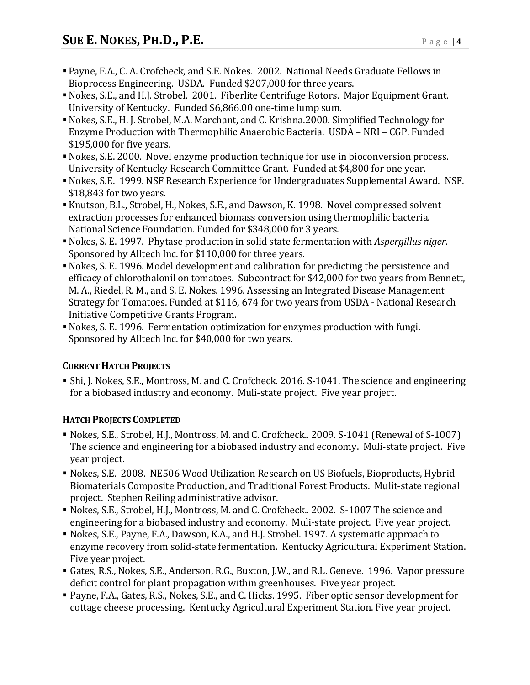- Payne, F.A., C. A. Crofcheck, and S.E. Nokes. 2002. National Needs Graduate Fellows in Bioprocess Engineering. USDA. Funded \$207,000 for three years.
- Nokes, S.E., and H.J. Strobel. 2001. Fiberlite Centrifuge Rotors. Major Equipment Grant. University of Kentucky. Funded \$6,866.00 one-time lump sum.
- Nokes, S.E., H. J. Strobel, M.A. Marchant, and C. Krishna.2000. Simplified Technology for Enzyme Production with Thermophilic Anaerobic Bacteria. USDA – NRI – CGP. Funded \$195,000 for five years.
- Nokes, S.E. 2000. Novel enzyme production technique for use in bioconversion process. University of Kentucky Research Committee Grant. Funded at \$4,800 for one year.
- Nokes, S.E. 1999. NSF Research Experience for Undergraduates Supplemental Award. NSF. \$18,843 for two years.
- Knutson, B.L., Strobel, H., Nokes, S.E., and Dawson, K. 1998. Novel compressed solvent extraction processes for enhanced biomass conversion using thermophilic bacteria. National Science Foundation. Funded for \$348,000 for 3 years.
- Nokes, S. E. 1997. Phytase production in solid state fermentation with *Aspergillus niger*. Sponsored by Alltech Inc. for \$110,000 for three years.
- Nokes, S. E. 1996. Model development and calibration for predicting the persistence and efficacy of chlorothalonil on tomatoes. Subcontract for \$42,000 for two years from Bennett, M. A., Riedel, R. M., and S. E. Nokes. 1996. Assessing an Integrated Disease Management Strategy for Tomatoes. Funded at \$116, 674 for two years from USDA - National Research Initiative Competitive Grants Program.
- Nokes, S. E. 1996. Fermentation optimization for enzymes production with fungi. Sponsored by Alltech Inc. for \$40,000 for two years.

# **CURRENT HATCH PROJECTS**

 Shi, J. Nokes, S.E., Montross, M. and C. Crofcheck. 2016. S-1041. The science and engineering for a biobased industry and economy. Muli-state project. Five year project.

# **HATCH PROJECTS COMPLETED**

- Nokes, S.E., Strobel, H.J., Montross, M. and C. Crofcheck.. 2009. S-1041 (Renewal of S-1007) The science and engineering for a biobased industry and economy. Muli-state project. Five year project.
- Nokes, S.E. 2008. NE506 Wood Utilization Research on US Biofuels, Bioproducts, Hybrid Biomaterials Composite Production, and Traditional Forest Products. Mulit-state regional project. Stephen Reiling administrative advisor.
- Nokes, S.E., Strobel, H.J., Montross, M. and C. Crofcheck.. 2002. S-1007 The science and engineering for a biobased industry and economy. Muli-state project. Five year project.
- Nokes, S.E., Payne, F.A., Dawson, K.A., and H.J. Strobel. 1997. A systematic approach to enzyme recovery from solid-state fermentation. Kentucky Agricultural Experiment Station. Five year project.
- Gates, R.S., Nokes, S.E., Anderson, R.G., Buxton, J.W., and R.L. Geneve. 1996. Vapor pressure deficit control for plant propagation within greenhouses. Five year project.
- Payne, F.A., Gates, R.S., Nokes, S.E., and C. Hicks. 1995. Fiber optic sensor development for cottage cheese processing. Kentucky Agricultural Experiment Station. Five year project.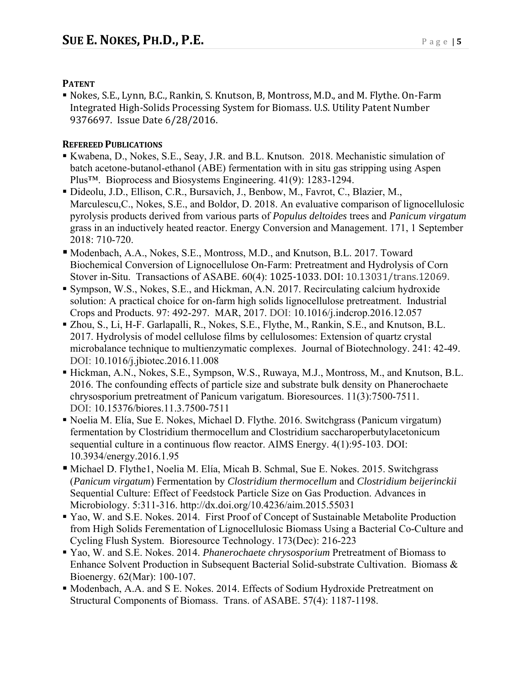### **PATENT**

 Nokes, S.E., Lynn, B.C., Rankin, S. Knutson, B, Montross, M.D., and M. Flythe. On-Farm Integrated High-Solids Processing System for Biomass. U.S. Utility Patent Number 9376697. Issue Date 6/28/2016.

### **REFEREED PUBLICATIONS**

- Kwabena, D., Nokes, S.E., Seay, J.R. and B.L. Knutson. 2018. Mechanistic simulation of batch acetone-butanol-ethanol (ABE) fermentation with in situ gas stripping using Aspen Plus™. Bioprocess and Biosystems Engineering. 41(9): 1283-1294.
- Dideolu, J.D., Ellison, C.R., Bursavich, J., Benbow, M., Favrot, C., Blazier, M., Marculescu,C., Nokes, S.E., and Boldor, D. 2018. An evaluative comparison of lignocellulosic pyrolysis products derived from various parts of *Populus deltoides* trees and *Panicum virgatum* grass in an inductively heated reactor. Energy Conversion and Management. 171, 1 September 2018: 710-720.
- Modenbach, A.A., Nokes, S.E., Montross, M.D., and Knutson, B.L. 2017. Toward Biochemical Conversion of Lignocellulose On-Farm: Pretreatment and Hydrolysis of Corn Stover in-Situ. Transactions of ASABE. 60(4): 1025-1033. DOI: 10.13031/trans.12069.
- Sympson, W.S., Nokes, S.E., and Hickman, A.N. 2017. Recirculating calcium hydroxide solution: A practical choice for on-farm high solids lignocellulose pretreatment. Industrial Crops and Products. 97: 492-297. MAR, 2017. DOI: 10.1016/j.indcrop.2016.12.057
- Zhou, S., Li, H-F. Garlapalli, R., Nokes, S.E., Flythe, M., Rankin, S.E., and Knutson, B.L. 2017. Hydrolysis of model cellulose films by cellulosomes: Extension of quartz crystal microbalance technique to multienzymatic complexes. Journal of Biotechnology. 241: 42-49. DOI: 10.1016/j.jbiotec.2016.11.008
- Hickman, A.N., Nokes, S.E., Sympson, W.S., Ruwaya, M.J., Montross, M., and Knutson, B.L. 2016. The confounding effects of particle size and substrate bulk density on Phanerochaete chrysosporium pretreatment of Panicum varigatum. Bioresources. 11(3):7500-7511. DOI: 10.15376/biores.11.3.7500-7511
- Noelia M. Elía, Sue E. Nokes, Michael D. Flythe. 2016. Switchgrass (Panicum virgatum) fermentation by Clostridium thermocellum and Clostridium saccharoperbutylacetonicum sequential culture in a continuous flow reactor. AIMS Energy. 4(1):95-103. DOI: 10.3934/energy.2016.1.95
- Michael D. Flythe1, Noelia M. Elía, Micah B. Schmal, Sue E. Nokes. 2015. Switchgrass (*Panicum virgatum*) Fermentation by *Clostridium thermocellum* and *Clostridium beijerinckii*  Sequential Culture: Effect of Feedstock Particle Size on Gas Production. Advances in Microbiology. 5:311-316. http://dx.doi.org/10.4236/aim.2015.55031
- Yao, W. and S.E. Nokes. 2014. First Proof of Concept of Sustainable Metabolite Production from High Solids Ferementation of Lignocellulosic Biomass Using a Bacterial Co-Culture and Cycling Flush System. Bioresource Technology. 173(Dec): 216-223
- Yao, W. and S.E. Nokes. 2014. *Phanerochaete chrysosporium* Pretreatment of Biomass to Enhance Solvent Production in Subsequent Bacterial Solid-substrate Cultivation. Biomass & Bioenergy. 62(Mar): 100-107.
- Modenbach, A.A. and S.E. Nokes. 2014. Effects of Sodium Hydroxide Pretreatment on Structural Components of Biomass. Trans. of ASABE. 57(4): 1187-1198.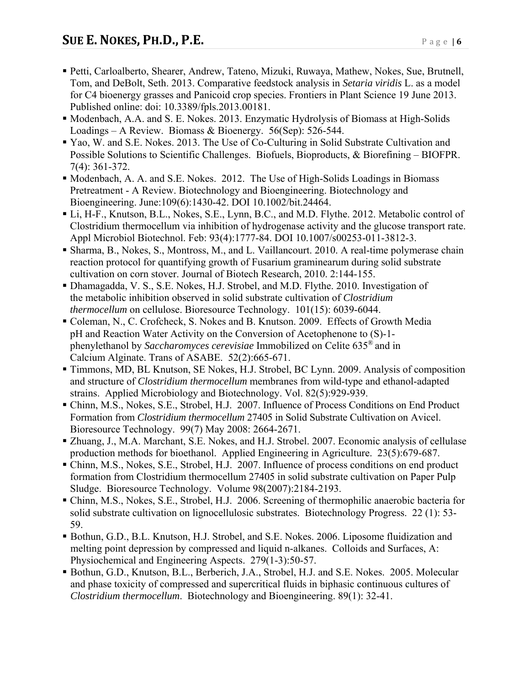- Petti, Carloalberto, Shearer, Andrew, Tateno, Mizuki, Ruwaya, Mathew, Nokes, Sue, Brutnell, Tom, and DeBolt, Seth. 2013. Comparative feedstock analysis in *Setaria viridis* L. as a model for C4 bioenergy grasses and Panicoid crop species. Frontiers in Plant Science 19 June 2013. Published online: doi: 10.3389/fpls.2013.00181.
- $\blacksquare$  Modenbach, A.A. and S. E. Nokes. 2013. Enzymatic Hydrolysis of Biomass at High-Solids Loadings – A Review. Biomass & Bioenergy. 56(Sep): 526-544.
- Yao, W. and S.E. Nokes. 2013. The Use of Co-Culturing in Solid Substrate Cultivation and Possible Solutions to Scientific Challenges. Biofuels, Bioproducts, & Biorefining – BIOFPR. 7(4): 361-372.
- Modenbach, A. A. and S.E. Nokes. 2012. The Use of High-Solids Loadings in Biomass Pretreatment - A Review. Biotechnology and Bioengineering. Biotechnology and Bioengineering. June:109(6):1430-42. DOI 10.1002/bit.24464.
- Li, H-F., Knutson, B.L., Nokes, S.E., Lynn, B.C., and M.D. Flythe. 2012. Metabolic control of Clostridium thermocellum via inhibition of hydrogenase activity and the glucose transport rate. Appl Microbiol Biotechnol. Feb: 93(4):1777-84. DOI 10.1007/s00253-011-3812-3.
- Sharma, B., Nokes, S., Montross, M., and L. Vaillancourt. 2010. A real-time polymerase chain reaction protocol for quantifying growth of Fusarium graminearum during solid substrate cultivation on corn stover. Journal of Biotech Research, 2010. 2:144-155.
- Dhamagadda, V. S., S.E. Nokes, H.J. Strobel, and M.D. Flythe. 2010. Investigation of the metabolic inhibition observed in solid substrate cultivation of *Clostridium thermocellum* on cellulose. Bioresource Technology. 101(15): 6039-6044.
- Coleman, N., C. Crofcheck, S. Nokes and B. Knutson. 2009. Effects of Growth Media pH and Reaction Water Activity on the Conversion of Acetophenone to (S)-1 phenylethanol by *Saccharomyces cerevisiae* Immobilized on Celite 635® and in Calcium Alginate. Trans of ASABE. 52(2):665-671.
- Timmons, MD, BL Knutson, SE Nokes, H.J. Strobel, BC Lynn. 2009. Analysis of composition and structure of *Clostridium thermocellum* membranes from wild-type and ethanol-adapted strains. Applied Microbiology and Biotechnology. Vol. 82(5):929-939.
- Chinn, M.S., Nokes, S.E., Strobel, H.J. 2007. Influence of Process Conditions on End Product Formation from *Clostridium thermocellum* 27405 in Solid Substrate Cultivation on Avicel. Bioresource Technology. 99(7) May 2008: 2664-2671.
- Zhuang, J., M.A. Marchant, S.E. Nokes, and H.J. Strobel. 2007. Economic analysis of cellulase production methods for bioethanol. Applied Engineering in Agriculture. 23(5):679-687.
- Chinn, M.S., Nokes, S.E., Strobel, H.J. 2007. Influence of process conditions on end product formation from Clostridium thermocellum 27405 in solid substrate cultivation on Paper Pulp Sludge. Bioresource Technology. Volume 98(2007):2184-2193.
- Chinn, M.S., Nokes, S.E., Strobel, H.J. 2006. Screening of thermophilic anaerobic bacteria for solid substrate cultivation on lignocellulosic substrates. Biotechnology Progress. 22 (1): 53- 59.
- Bothun, G.D., B.L. Knutson, H.J. Strobel, and S.E. Nokes. 2006. Liposome fluidization and melting point depression by compressed and liquid n-alkanes. Colloids and Surfaces, A: Physiochemical and Engineering Aspects. 279(1-3):50-57.
- Bothun, G.D., Knutson, B.L., Berberich, J.A., Strobel, H.J. and S.E. Nokes. 2005. Molecular and phase toxicity of compressed and supercritical fluids in biphasic continuous cultures of *Clostridium thermocellum*. Biotechnology and Bioengineering. 89(1): 32-41.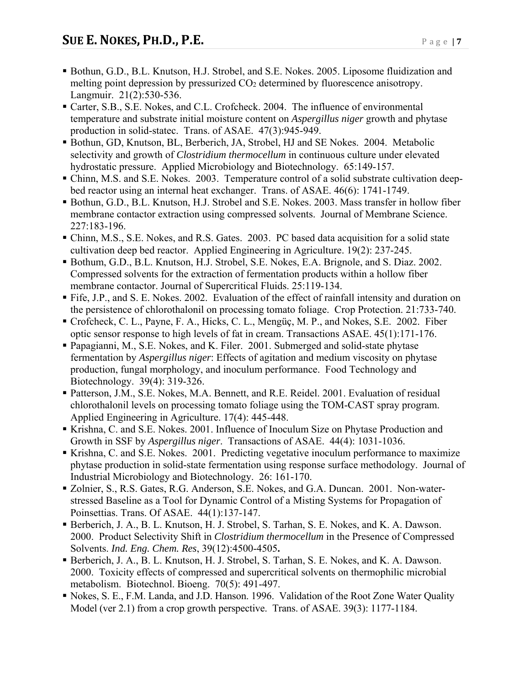- Bothun, G.D., B.L. Knutson, H.J. Strobel, and S.E. Nokes. 2005. Liposome fluidization and melting point depression by pressurized CO<sub>2</sub> determined by fluorescence anisotropy. Langmuir. 21(2):530-536.
- Carter, S.B., S.E. Nokes, and C.L. Crofcheck. 2004. The influence of environmental temperature and substrate initial moisture content on *Aspergillus niger* growth and phytase production in solid-statec. Trans. of ASAE. 47(3):945-949.
- Bothun, GD, Knutson, BL, Berberich, JA, Strobel, HJ and SE Nokes. 2004. Metabolic selectivity and growth of *Clostridium thermocellum* in continuous culture under elevated hydrostatic pressure. Applied Microbiology and Biotechnology. 65:149-157.
- Chinn, M.S. and S.E. Nokes. 2003. Temperature control of a solid substrate cultivation deepbed reactor using an internal heat exchanger. Trans. of ASAE. 46(6): 1741-1749.
- Bothun, G.D., B.L. Knutson, H.J. Strobel and S.E. Nokes. 2003. Mass transfer in hollow fiber membrane contactor extraction using compressed solvents. Journal of Membrane Science. 227:183-196.
- Chinn, M.S., S.E. Nokes, and R.S. Gates. 2003. PC based data acquisition for a solid state cultivation deep bed reactor. Applied Engineering in Agriculture. 19(2): 237-245.
- Bothum, G.D., B.L. Knutson, H.J. Strobel, S.E. Nokes, E.A. Brignole, and S. Diaz. 2002. Compressed solvents for the extraction of fermentation products within a hollow fiber membrane contactor. Journal of Supercritical Fluids. 25:119-134.
- Fife, J.P., and S. E. Nokes. 2002. Evaluation of the effect of rainfall intensity and duration on the persistence of chlorothalonil on processing tomato foliage. Crop Protection. 21:733-740.
- Crofcheck, C. L., Payne, F. A., Hicks, C. L., Mengüç, M. P., and Nokes, S.E. 2002. Fiber optic sensor response to high levels of fat in cream. Transactions ASAE. 45(1):171-176.
- Papagianni, M., S.E. Nokes, and K. Filer. 2001. Submerged and solid-state phytase fermentation by *Aspergillus niger*: Effects of agitation and medium viscosity on phytase production, fungal morphology, and inoculum performance. Food Technology and Biotechnology. 39(4): 319-326.
- Patterson, J.M., S.E. Nokes, M.A. Bennett, and R.E. Reidel. 2001. Evaluation of residual chlorothalonil levels on processing tomato foliage using the TOM-CAST spray program. Applied Engineering in Agriculture. 17(4): 445-448.
- Krishna, C. and S.E. Nokes. 2001. Influence of Inoculum Size on Phytase Production and Growth in SSF by *Aspergillus niger*. Transactions of ASAE. 44(4): 1031-1036.
- Krishna, C. and S.E. Nokes. 2001. Predicting vegetative inoculum performance to maximize phytase production in solid-state fermentation using response surface methodology. Journal of Industrial Microbiology and Biotechnology. 26: 161-170.
- Zolnier, S., R.S. Gates, R.G. Anderson, S.E. Nokes, and G.A. Duncan. 2001. Non-waterstressed Baseline as a Tool for Dynamic Control of a Misting Systems for Propagation of Poinsettias. Trans. Of ASAE. 44(1):137-147.
- Berberich, J. A., B. L. Knutson, H. J. Strobel, S. Tarhan, S. E. Nokes, and K. A. Dawson. 2000. Product Selectivity Shift in *Clostridium thermocellum* in the Presence of Compressed Solvents. *Ind. Eng. Chem. Res*, 39(12):4500-4505**.**
- Berberich, J. A., B. L. Knutson, H. J. Strobel, S. Tarhan, S. E. Nokes, and K. A. Dawson. 2000. Toxicity effects of compressed and supercritical solvents on thermophilic microbial metabolism. Biotechnol. Bioeng. 70(5): 491-497.
- Nokes, S. E., F.M. Landa, and J.D. Hanson. 1996. Validation of the Root Zone Water Quality Model (ver 2.1) from a crop growth perspective. Trans. of ASAE. 39(3): 1177-1184.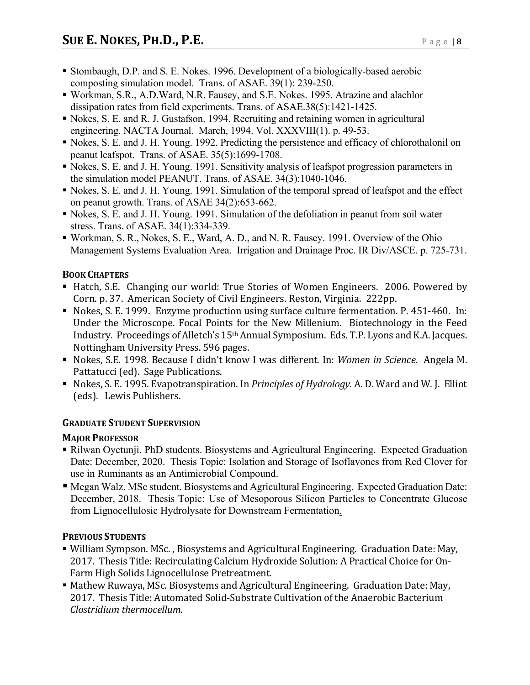- Stombaugh, D.P. and S. E. Nokes. 1996. Development of a biologically-based aerobic composting simulation model. Trans. of ASAE. 39(1): 239-250.
- Workman, S.R., A.D.Ward, N.R. Fausey, and S.E. Nokes. 1995. Atrazine and alachlor dissipation rates from field experiments. Trans. of ASAE.38(5):1421-1425.
- Nokes, S. E. and R. J. Gustafson. 1994. Recruiting and retaining women in agricultural engineering. NACTA Journal. March, 1994. Vol. XXXVIII(1). p. 49-53.
- Nokes, S. E. and J. H. Young. 1992. Predicting the persistence and efficacy of chlorothalonil on peanut leafspot. Trans. of ASAE. 35(5):1699-1708.
- Nokes, S. E. and J. H. Young. 1991. Sensitivity analysis of leafspot progression parameters in the simulation model PEANUT. Trans. of ASAE. 34(3):1040-1046.
- Nokes, S. E. and J. H. Young. 1991. Simulation of the temporal spread of leafspot and the effect on peanut growth. Trans. of ASAE 34(2):653-662.
- Nokes, S. E. and J. H. Young. 1991. Simulation of the defoliation in peanut from soil water stress. Trans. of ASAE. 34(1):334-339.
- Workman, S. R., Nokes, S. E., Ward, A. D., and N. R. Fausey. 1991. Overview of the Ohio Management Systems Evaluation Area. Irrigation and Drainage Proc. IR Div/ASCE. p. 725-731.

# **BOOK CHAPTERS**

- Hatch, S.E. Changing our world: True Stories of Women Engineers. 2006. Powered by Corn. p. 37. American Society of Civil Engineers. Reston, Virginia. 222pp.
- Nokes, S. E. 1999. Enzyme production using surface culture fermentation. P. 451-460. In: Under the Microscope. Focal Points for the New Millenium. Biotechnology in the Feed Industry. Proceedings of Alletch's 15<sup>th</sup> Annual Symposium. Eds. T.P. Lyons and K.A. Jacques. Nottingham University Press. 596 pages.
- Nokes, S.E. 1998. Because I didn't know I was different. In: *Women in Science*. Angela M. Pattatucci (ed). Sage Publications.
- Nokes, S. E. 1995. Evapotranspiration. In *Principles of Hydrology*. A. D. Ward and W. J. Elliot (eds). Lewis Publishers.

### **GRADUATE STUDENT SUPERVISION**

### **MAJOR PROFESSOR**

- Rilwan Oyetunji. PhD students. Biosystems and Agricultural Engineering. Expected Graduation Date: December, 2020. Thesis Topic: Isolation and Storage of Isoflavones from Red Clover for use in Ruminants as an Antimicrobial Compound.
- Megan Walz. MSc student. Biosystems and Agricultural Engineering. Expected Graduation Date: December, 2018. Thesis Topic: Use of Mesoporous Silicon Particles to Concentrate Glucose from Lignocellulosic Hydrolysate for Downstream Fermentation.

### **PREVIOUS STUDENTS**

- William Sympson. MSc. , Biosystems and Agricultural Engineering. Graduation Date: May, 2017. Thesis Title: Recirculating Calcium Hydroxide Solution: A Practical Choice for On-Farm High Solids Lignocellulose Pretreatment.
- Mathew Ruwaya, MSc. Biosystems and Agricultural Engineering. Graduation Date: May, 2017. Thesis Title: Automated Solid-Substrate Cultivation of the Anaerobic Bacterium *Clostridium thermocellum*.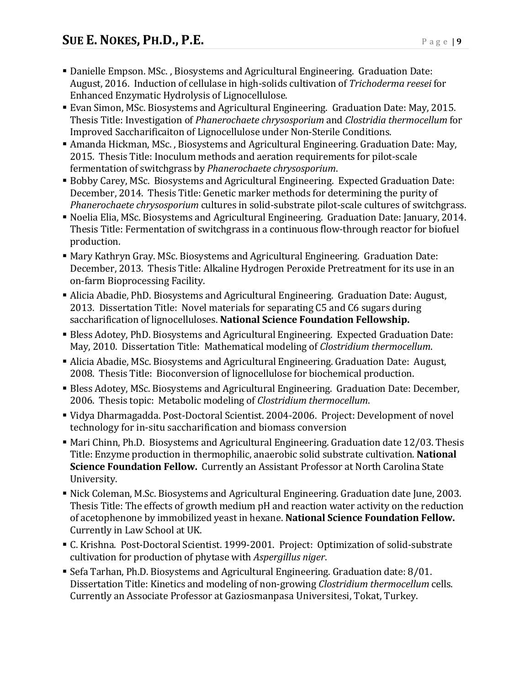- Danielle Empson. MSc. , Biosystems and Agricultural Engineering. Graduation Date: August, 2016. Induction of cellulase in high-solids cultivation of *Trichoderma reesei* for Enhanced Enzymatic Hydrolysis of Lignocellulose.
- Evan Simon, MSc. Biosystems and Agricultural Engineering. Graduation Date: May, 2015. Thesis Title: Investigation of *Phanerochaete chrysosporium* and *Clostridia thermocellum* for Improved Saccharificaiton of Lignocellulose under Non-Sterile Conditions.
- Amanda Hickman, MSc. , Biosystems and Agricultural Engineering. Graduation Date: May, 2015. Thesis Title: Inoculum methods and aeration requirements for pilot-scale fermentation of switchgrass by *Phanerochaete chrysosporium*.
- Bobby Carey, MSc. Biosystems and Agricultural Engineering. Expected Graduation Date: December, 2014. Thesis Title: Genetic marker methods for determining the purity of *Phanerochaete chrysosporium* cultures in solid-substrate pilot-scale cultures of switchgrass.
- Noelia Elia, MSc. Biosystems and Agricultural Engineering. Graduation Date: January, 2014. Thesis Title: Fermentation of switchgrass in a continuous flow-through reactor for biofuel production.
- Mary Kathryn Gray. MSc. Biosystems and Agricultural Engineering. Graduation Date: December, 2013. Thesis Title: Alkaline Hydrogen Peroxide Pretreatment for its use in an on-farm Bioprocessing Facility.
- Alicia Abadie, PhD. Biosystems and Agricultural Engineering. Graduation Date: August, 2013. Dissertation Title: Novel materials for separating C5 and C6 sugars during saccharification of lignocelluloses. **National Science Foundation Fellowship.**
- Bless Adotey, PhD. Biosystems and Agricultural Engineering. Expected Graduation Date: May, 2010. Dissertation Title: Mathematical modeling of *Clostridium thermocellum*.
- Alicia Abadie, MSc. Biosystems and Agricultural Engineering. Graduation Date: August, 2008. Thesis Title: Bioconversion of lignocellulose for biochemical production.
- Bless Adotey, MSc. Biosystems and Agricultural Engineering. Graduation Date: December, 2006. Thesis topic: Metabolic modeling of *Clostridium thermocellum*.
- Vidya Dharmagadda. Post-Doctoral Scientist. 2004-2006. Project: Development of novel technology for in-situ saccharification and biomass conversion
- Mari Chinn, Ph.D. Biosystems and Agricultural Engineering. Graduation date 12/03. Thesis Title: Enzyme production in thermophilic, anaerobic solid substrate cultivation. **National Science Foundation Fellow.** Currently an Assistant Professor at North Carolina State University.
- Nick Coleman, M.Sc. Biosystems and Agricultural Engineering. Graduation date June, 2003. Thesis Title: The effects of growth medium pH and reaction water activity on the reduction of acetophenone by immobilized yeast in hexane. **National Science Foundation Fellow.**  Currently in Law School at UK.
- C. Krishna. Post-Doctoral Scientist. 1999-2001. Project: Optimization of solid-substrate cultivation for production of phytase with *Aspergillus niger*.
- Sefa Tarhan, Ph.D. Biosystems and Agricultural Engineering. Graduation date: 8/01. Dissertation Title: Kinetics and modeling of non-growing *Clostridium thermocellum* cells. Currently an Associate Professor at Gaziosmanpasa Universitesi, Tokat, Turkey.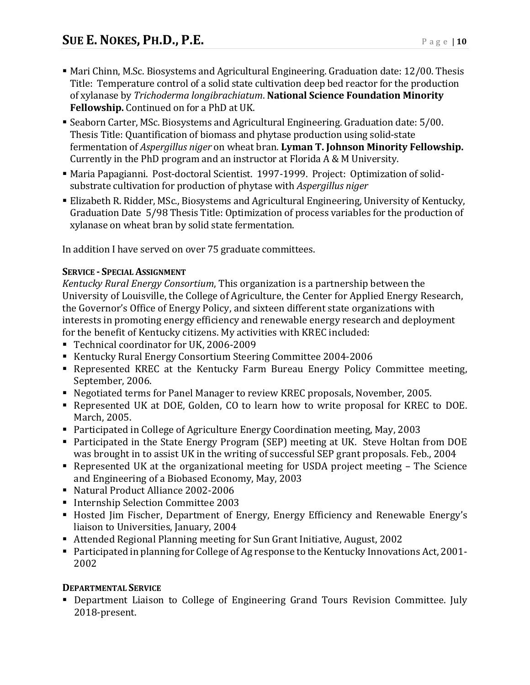- Mari Chinn, M.Sc. Biosystems and Agricultural Engineering. Graduation date: 12/00. Thesis Title: Temperature control of a solid state cultivation deep bed reactor for the production of xylanase by *Trichoderma longibrachiatum*. **National Science Foundation Minority Fellowship.** Continued on for a PhD at UK.
- Seaborn Carter, MSc. Biosystems and Agricultural Engineering. Graduation date: 5/00. Thesis Title: Quantification of biomass and phytase production using solid-state fermentation of *Aspergillus niger* on wheat bran. **Lyman T. Johnson Minority Fellowship.** Currently in the PhD program and an instructor at Florida A & M University.
- Maria Papagianni. Post-doctoral Scientist. 1997-1999. Project: Optimization of solidsubstrate cultivation for production of phytase with *Aspergillus niger*
- Elizabeth R. Ridder, MSc., Biosystems and Agricultural Engineering, University of Kentucky, Graduation Date 5/98 Thesis Title: Optimization of process variables for the production of xylanase on wheat bran by solid state fermentation.

In addition I have served on over 75 graduate committees.

#### **SERVICE ‐ SPECIALASSIGNMENT**

*Kentucky Rural Energy Consortium*, This organization is a partnership between the University of Louisville, the College of Agriculture, the Center for Applied Energy Research, the Governor's Office of Energy Policy, and sixteen different state organizations with interests in promoting energy efficiency and renewable energy research and deployment for the benefit of Kentucky citizens. My activities with KREC included:

- Technical coordinator for UK, 2006-2009
- Kentucky Rural Energy Consortium Steering Committee 2004-2006
- Represented KREC at the Kentucky Farm Bureau Energy Policy Committee meeting, September, 2006.
- Negotiated terms for Panel Manager to review KREC proposals, November, 2005.
- Represented UK at DOE, Golden, CO to learn how to write proposal for KREC to DOE. March, 2005.
- Participated in College of Agriculture Energy Coordination meeting, May, 2003
- Participated in the State Energy Program (SEP) meeting at UK. Steve Holtan from DOE was brought in to assist UK in the writing of successful SEP grant proposals. Feb., 2004
- Represented UK at the organizational meeting for USDA project meeting The Science and Engineering of a Biobased Economy, May, 2003
- Natural Product Alliance 2002-2006
- Internship Selection Committee 2003
- Hosted Jim Fischer, Department of Energy, Energy Efficiency and Renewable Energy's liaison to Universities, January, 2004
- Attended Regional Planning meeting for Sun Grant Initiative, August, 2002
- Participated in planning for College of Ag response to the Kentucky Innovations Act, 2001- 2002

### **DEPARTMENTAL SERVICE**

 Department Liaison to College of Engineering Grand Tours Revision Committee. July 2018-present.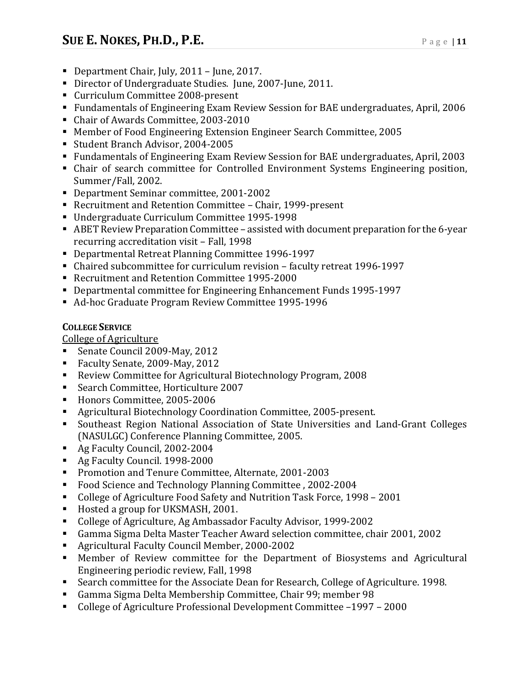- Department Chair, July, 2011 June, 2017.
- Director of Undergraduate Studies. June, 2007-June, 2011.
- Curriculum Committee 2008-present
- Fundamentals of Engineering Exam Review Session for BAE undergraduates, April, 2006
- Chair of Awards Committee, 2003-2010
- **Member of Food Engineering Extension Engineer Search Committee, 2005**
- Student Branch Advisor, 2004-2005
- Fundamentals of Engineering Exam Review Session for BAE undergraduates, April, 2003
- Chair of search committee for Controlled Environment Systems Engineering position, Summer/Fall, 2002.
- Department Seminar committee, 2001-2002
- Recruitment and Retention Committee Chair, 1999-present
- Undergraduate Curriculum Committee 1995-1998
- ABET Review Preparation Committee assisted with document preparation for the 6-year recurring accreditation visit – Fall, 1998
- Departmental Retreat Planning Committee 1996-1997
- Chaired subcommittee for curriculum revision faculty retreat 1996-1997
- Recruitment and Retention Committee 1995-2000
- Departmental committee for Engineering Enhancement Funds 1995-1997
- Ad-hoc Graduate Program Review Committee 1995-1996

# **COLLEGE SERVICE**

# College of Agriculture

- Senate Council 2009-May, 2012
- Faculty Senate, 2009-May, 2012
- Review Committee for Agricultural Biotechnology Program, 2008
- Search Committee, Horticulture 2007
- Honors Committee, 2005-2006
- Agricultural Biotechnology Coordination Committee, 2005-present.
- Southeast Region National Association of State Universities and Land-Grant Colleges (NASULGC) Conference Planning Committee, 2005.
- Ag Faculty Council, 2002-2004
- Ag Faculty Council. 1998-2000
- **Promotion and Tenure Committee, Alternate, 2001-2003**
- **Food Science and Technology Planning Committee, 2002-2004**
- College of Agriculture Food Safety and Nutrition Task Force, 1998 2001
- Hosted a group for UKSMASH, 2001.
- College of Agriculture, Ag Ambassador Faculty Advisor, 1999-2002
- Gamma Sigma Delta Master Teacher Award selection committee, chair 2001, 2002
- Agricultural Faculty Council Member, 2000-2002
- Member of Review committee for the Department of Biosystems and Agricultural Engineering periodic review, Fall, 1998
- Search committee for the Associate Dean for Research, College of Agriculture. 1998.
- Gamma Sigma Delta Membership Committee, Chair 99; member 98
- College of Agriculture Professional Development Committee –1997 2000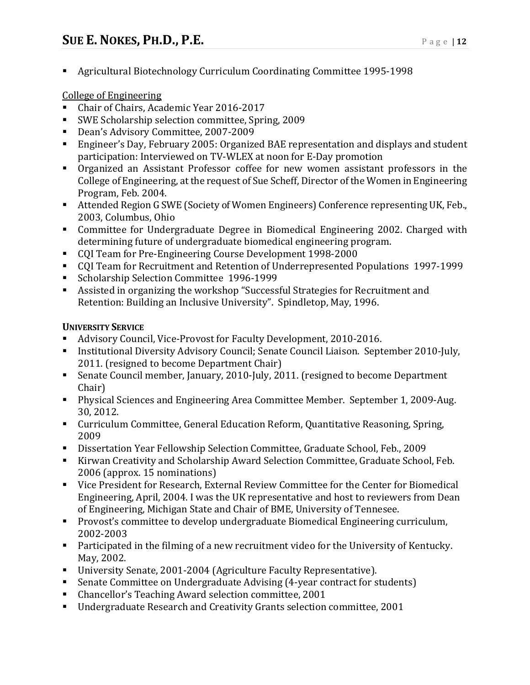Agricultural Biotechnology Curriculum Coordinating Committee 1995-1998

# College of Engineering

- Chair of Chairs, Academic Year 2016-2017
- SWE Scholarship selection committee, Spring, 2009
- Dean's Advisory Committee, 2007-2009
- Engineer's Day, February 2005: Organized BAE representation and displays and student participation: Interviewed on TV-WLEX at noon for E-Day promotion
- Organized an Assistant Professor coffee for new women assistant professors in the College of Engineering, at the request of Sue Scheff, Director of the Women in Engineering Program, Feb. 2004.
- Attended Region G SWE (Society of Women Engineers) Conference representing UK, Feb., 2003, Columbus, Ohio
- Committee for Undergraduate Degree in Biomedical Engineering 2002. Charged with determining future of undergraduate biomedical engineering program.
- CQI Team for Pre-Engineering Course Development 1998-2000
- CQI Team for Recruitment and Retention of Underrepresented Populations 1997-1999
- Scholarship Selection Committee 1996-1999
- Assisted in organizing the workshop "Successful Strategies for Recruitment and Retention: Building an Inclusive University". Spindletop, May, 1996.

# **UNIVERSITY SERVICE**

- Advisory Council, Vice-Provost for Faculty Development, 2010-2016.
- Institutional Diversity Advisory Council; Senate Council Liaison. September 2010-July, 2011. (resigned to become Department Chair)
- Senate Council member, January, 2010-July, 2011. (resigned to become Department Chair)
- Physical Sciences and Engineering Area Committee Member. September 1, 2009-Aug. 30, 2012.
- Curriculum Committee, General Education Reform, Quantitative Reasoning, Spring, 2009
- Dissertation Year Fellowship Selection Committee, Graduate School, Feb., 2009
- Kirwan Creativity and Scholarship Award Selection Committee, Graduate School, Feb. 2006 (approx. 15 nominations)
- Vice President for Research, External Review Committee for the Center for Biomedical Engineering, April, 2004. I was the UK representative and host to reviewers from Dean of Engineering, Michigan State and Chair of BME, University of Tennesee.
- Provost's committee to develop undergraduate Biomedical Engineering curriculum, 2002-2003
- **Participated in the filming of a new recruitment video for the University of Kentucky.** May, 2002.
- University Senate, 2001-2004 (Agriculture Faculty Representative).
- Senate Committee on Undergraduate Advising (4-year contract for students)
- Chancellor's Teaching Award selection committee, 2001
- Undergraduate Research and Creativity Grants selection committee, 2001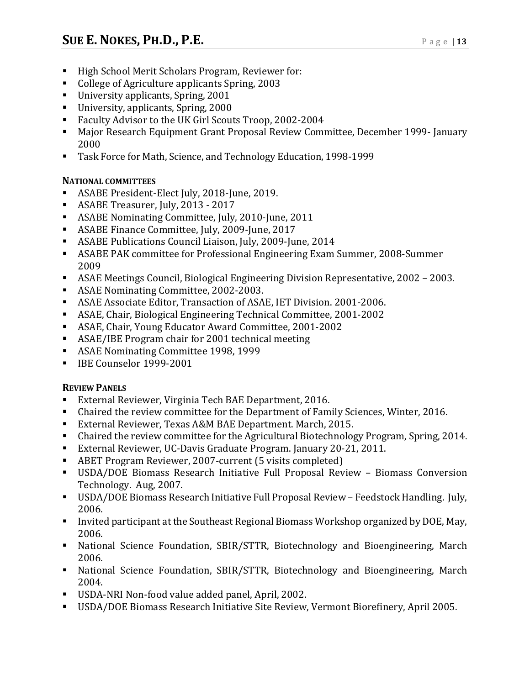- High School Merit Scholars Program, Reviewer for:
- College of Agriculture applicants Spring, 2003
- University applicants, Spring, 2001
- University, applicants, Spring, 2000
- Faculty Advisor to the UK Girl Scouts Troop, 2002-2004
- Major Research Equipment Grant Proposal Review Committee, December 1999- January 2000
- Task Force for Math, Science, and Technology Education, 1998-1999

# **NATIONAL COMMITTEES**

- ASABE President-Elect July, 2018-June, 2019.
- ASABE Treasurer, July, 2013 2017
- ASABE Nominating Committee, July, 2010-June, 2011
- ASABE Finance Committee, July, 2009-June, 2017
- ASABE Publications Council Liaison, July, 2009-June, 2014
- ASABE PAK committee for Professional Engineering Exam Summer, 2008-Summer 2009
- ASAE Meetings Council, Biological Engineering Division Representative, 2002 2003.
- ASAE Nominating Committee, 2002-2003.
- ASAE Associate Editor, Transaction of ASAE, IET Division. 2001-2006.
- ASAE, Chair, Biological Engineering Technical Committee, 2001-2002
- ASAE, Chair, Young Educator Award Committee, 2001-2002
- ASAE/IBE Program chair for 2001 technical meeting
- **ASAE Nominating Committee 1998, 1999**
- **IBE Counselor 1999-2001**

# **REVIEW PANELS**

- External Reviewer, Virginia Tech BAE Department, 2016.
- Chaired the review committee for the Department of Family Sciences, Winter, 2016.
- External Reviewer, Texas A&M BAE Department. March, 2015.
- Chaired the review committee for the Agricultural Biotechnology Program, Spring, 2014.
- External Reviewer, UC-Davis Graduate Program. January 20-21, 2011.
- ABET Program Reviewer, 2007-current (5 visits completed)
- USDA/DOE Biomass Research Initiative Full Proposal Review Biomass Conversion Technology. Aug, 2007.
- USDA/DOE Biomass Research Initiative Full Proposal Review Feedstock Handling. July, 2006.
- Invited participant at the Southeast Regional Biomass Workshop organized by DOE, May, 2006.
- National Science Foundation, SBIR/STTR, Biotechnology and Bioengineering, March 2006.
- National Science Foundation, SBIR/STTR, Biotechnology and Bioengineering, March 2004.
- USDA-NRI Non-food value added panel, April, 2002.
- USDA/DOE Biomass Research Initiative Site Review, Vermont Biorefinery, April 2005.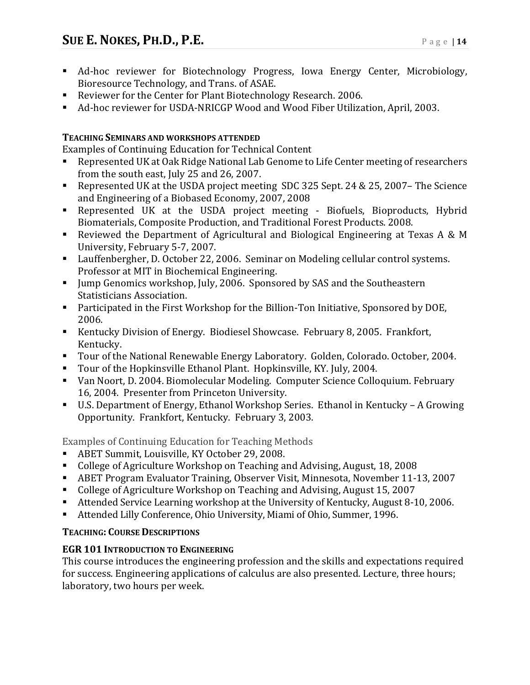- Ad-hoc reviewer for Biotechnology Progress, Iowa Energy Center, Microbiology, Bioresource Technology, and Trans. of ASAE.
- Reviewer for the Center for Plant Biotechnology Research. 2006.
- Ad-hoc reviewer for USDA-NRICGP Wood and Wood Fiber Utilization, April, 2003.

### **TEACHING SEMINARS AND WORKSHOPS ATTENDED**

Examples of Continuing Education for Technical Content

- Represented UK at Oak Ridge National Lab Genome to Life Center meeting of researchers from the south east, July 25 and 26, 2007.
- Represented UK at the USDA project meeting SDC 325 Sept. 24 & 25, 2007– The Science and Engineering of a Biobased Economy, 2007, 2008
- Represented UK at the USDA project meeting Biofuels, Bioproducts, Hybrid Biomaterials, Composite Production, and Traditional Forest Products. 2008.
- Reviewed the Department of Agricultural and Biological Engineering at Texas A & M University, February 5-7, 2007.
- Lauffenbergher, D. October 22, 2006. Seminar on Modeling cellular control systems. Professor at MIT in Biochemical Engineering.
- If Iump Genomics workshop, July, 2006. Sponsored by SAS and the Southeastern Statisticians Association.
- Participated in the First Workshop for the Billion-Ton Initiative, Sponsored by DOE, 2006.
- Kentucky Division of Energy. Biodiesel Showcase. February 8, 2005. Frankfort, Kentucky.
- Tour of the National Renewable Energy Laboratory. Golden, Colorado. October, 2004.
- Tour of the Hopkinsville Ethanol Plant. Hopkinsville, KY. July, 2004.
- Van Noort, D. 2004. Biomolecular Modeling. Computer Science Colloquium. February 16, 2004. Presenter from Princeton University.
- U.S. Department of Energy, Ethanol Workshop Series. Ethanol in Kentucky A Growing Opportunity. Frankfort, Kentucky. February 3, 2003.

Examples of Continuing Education for Teaching Methods

- ABET Summit, Louisville, KY October 29, 2008.
- College of Agriculture Workshop on Teaching and Advising, August, 18, 2008
- ABET Program Evaluator Training, Observer Visit, Minnesota, November 11-13, 2007
- College of Agriculture Workshop on Teaching and Advising, August 15, 2007
- Attended Service Learning workshop at the University of Kentucky, August 8-10, 2006.
- Attended Lilly Conference, Ohio University, Miami of Ohio, Summer, 1996.

# **TEACHING: COURSE DESCRIPTIONS**

# **EGR 101 INTRODUCTION TO ENGINEERING**

This course introduces the engineering profession and the skills and expectations required for success. Engineering applications of calculus are also presented. Lecture, three hours; laboratory, two hours per week.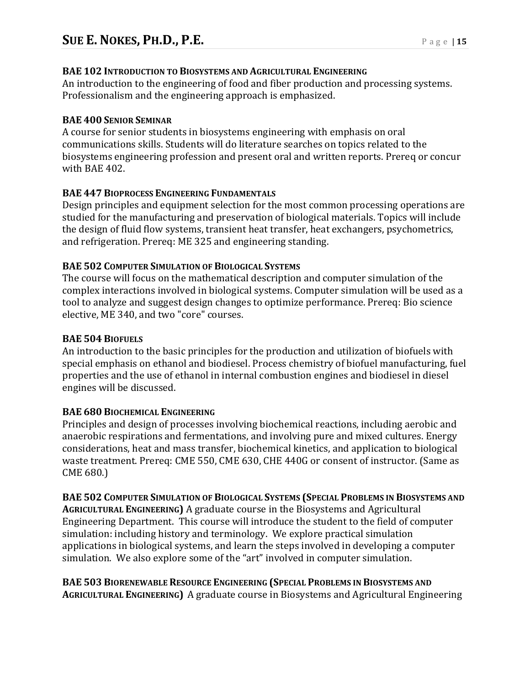### **BAE 102 INTRODUCTION TO BIOSYSTEMS AND AGRICULTURAL ENGINEERING**

An introduction to the engineering of food and fiber production and processing systems. Professionalism and the engineering approach is emphasized.

### **BAE 400 SENIOR SEMINAR**

A course for senior students in biosystems engineering with emphasis on oral communications skills. Students will do literature searches on topics related to the biosystems engineering profession and present oral and written reports. Prereq or concur with BAE 402.

### **BAE 447 BIOPROCESS ENGINEERING FUNDAMENTALS**

Design principles and equipment selection for the most common processing operations are studied for the manufacturing and preservation of biological materials. Topics will include the design of fluid flow systems, transient heat transfer, heat exchangers, psychometrics, and refrigeration. Prereq: ME 325 and engineering standing.

### **BAE 502 COMPUTER SIMULATION OF BIOLOGICAL SYSTEMS**

The course will focus on the mathematical description and computer simulation of the complex interactions involved in biological systems. Computer simulation will be used as a tool to analyze and suggest design changes to optimize performance. Prereq: Bio science elective, ME 340, and two "core" courses.

### **BAE 504 BIOFUELS**

An introduction to the basic principles for the production and utilization of biofuels with special emphasis on ethanol and biodiesel. Process chemistry of biofuel manufacturing, fuel properties and the use of ethanol in internal combustion engines and biodiesel in diesel engines will be discussed.

# **BAE 680 BIOCHEMICAL ENGINEERING**

Principles and design of processes involving biochemical reactions, including aerobic and anaerobic respirations and fermentations, and involving pure and mixed cultures. Energy considerations, heat and mass transfer, biochemical kinetics, and application to biological waste treatment. Prereq: CME 550, CME 630, CHE 440G or consent of instructor. (Same as CME 680.)

### **BAE 502 COMPUTER SIMULATION OF BIOLOGICAL SYSTEMS (SPECIAL PROBLEMS IN BIOSYSTEMS AND**

**AGRICULTURAL ENGINEERING)** A graduate course in the Biosystems and Agricultural Engineering Department. This course will introduce the student to the field of computer simulation: including history and terminology. We explore practical simulation applications in biological systems, and learn the steps involved in developing a computer simulation. We also explore some of the "art" involved in computer simulation.

### **BAE 503 BIORENEWABLE RESOURCE ENGINEERING (SPECIAL PROBLEMS IN BIOSYSTEMS AND AGRICULTURAL ENGINEERING)** A graduate course in Biosystems and Agricultural Engineering